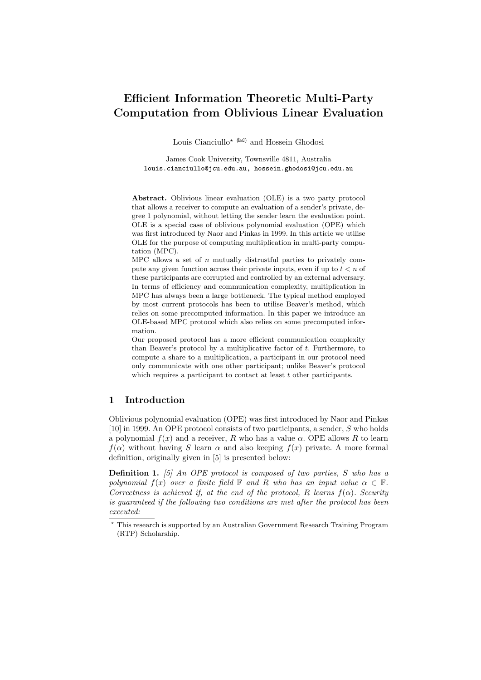# Efficient Information Theoretic Multi-Party Computation from Oblivious Linear Evaluation

Louis Cianciullo<sup>\*</sup>  $($   $\boxtimes$   $)$  and Hossein Ghodosi

James Cook University, Townsville 4811, Australia louis.cianciullo@jcu.edu.au, hossein.ghodosi@jcu.edu.au

Abstract. Oblivious linear evaluation (OLE) is a two party protocol that allows a receiver to compute an evaluation of a sender's private, degree 1 polynomial, without letting the sender learn the evaluation point. OLE is a special case of oblivious polynomial evaluation (OPE) which was first introduced by Naor and Pinkas in 1999. In this article we utilise OLE for the purpose of computing multiplication in multi-party computation (MPC).

MPC allows a set of  $n$  mutually distrustful parties to privately compute any given function across their private inputs, even if up to  $t < n$  of these participants are corrupted and controlled by an external adversary. In terms of efficiency and communication complexity, multiplication in MPC has always been a large bottleneck. The typical method employed by most current protocols has been to utilise Beaver's method, which relies on some precomputed information. In this paper we introduce an OLE-based MPC protocol which also relies on some precomputed information.

Our proposed protocol has a more efficient communication complexity than Beaver's protocol by a multiplicative factor of  $t$ . Furthermore, to compute a share to a multiplication, a participant in our protocol need only communicate with one other participant; unlike Beaver's protocol which requires a participant to contact at least  $t$  other participants.

# 1 Introduction

Oblivious polynomial evaluation (OPE) was first introduced by Naor and Pinkas [10] in 1999. An OPE protocol consists of two participants, a sender, S who holds a polynomial  $f(x)$  and a receiver, R who has a value  $\alpha$ . OPE allows R to learn  $f(\alpha)$  without having S learn  $\alpha$  and also keeping  $f(x)$  private. A more formal definition, originally given in [5] is presented below:

**Definition 1.** [5] An OPE protocol is composed of two parties, S who has a polynomial  $f(x)$  over a finite field  $\mathbb F$  and  $R$  who has an input value  $\alpha \in \mathbb F$ . Correctness is achieved if, at the end of the protocol, R learns  $f(\alpha)$ . Security is guaranteed if the following two conditions are met after the protocol has been executed:

<sup>?</sup> This research is supported by an Australian Government Research Training Program (RTP) Scholarship.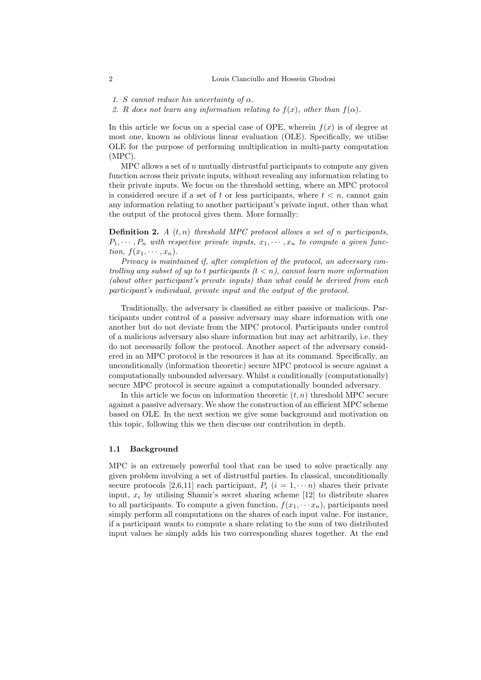1. S cannot reduce his uncertainty of  $\alpha$ .

2. R does not learn any information relating to  $f(x)$ , other than  $f(\alpha)$ .

In this article we focus on a special case of OPE, wherein  $f(x)$  is of degree at most one, known as oblivious linear evaluation (OLE). Specifically, we utilise OLE for the purpose of performing multiplication in multi-party computation (MPC).

MPC allows a set of  $n$  mutually distrustful participants to compute any given function across their private inputs, without revealing any information relating to their private inputs. We focus on the threshold setting, where an MPC protocol is considered secure if a set of t or less participants, where  $t < n$ , cannot gain any information relating to another participant's private input, other than what the output of the protocol gives them. More formally:

**Definition 2.** A  $(t, n)$  threshold MPC protocol allows a set of n participants,  $P_1, \dots, P_n$  with respective private inputs,  $x_1, \dots, x_n$  to compute a given function,  $f(x_1, \dots, x_n)$ .

Privacy is maintained if, after completion of the protocol, an adversary controlling any subset of up to t participants  $(t \leq n)$ , cannot learn more information (about other participant's private inputs) than what could be derived from each participant's individual, private input and the output of the protocol.

Traditionally, the adversary is classified as either passive or malicious. Participants under control of a passive adversary may share information with one another but do not deviate from the MPC protocol. Participants under control of a malicious adversary also share information but may act arbitrarily, i.e. they do not necessarily follow the protocol. Another aspect of the adversary considered in an MPC protocol is the resources it has at its command. Specifically, an unconditionally (information theoretic) secure MPC protocol is secure against a computationally unbounded adversary. Whilst a conditionally (computationally) secure MPC protocol is secure against a computationally bounded adversary.

In this article we focus on information theoretic  $(t, n)$  threshold MPC secure against a passive adversary. We show the construction of an efficient MPC scheme based on OLE. In the next section we give some background and motivation on this topic, following this we then discuss our contribution in depth.

#### 1.1 Background

MPC is an extremely powerful tool that can be used to solve practically any given problem involving a set of distrustful parties. In classical, unconditionally secure protocols [2,6,11] each participant,  $P_i$  ( $i = 1, \dots, n$ ) shares their private input,  $x_i$  by utilising Shamir's secret sharing scheme [12] to distribute shares to all participants. To compute a given function,  $f(x_1, \dots, x_n)$ , participants need simply perform all computations on the shares of each input value. For instance, if a participant wants to compute a share relating to the sum of two distributed input values he simply adds his two corresponding shares together. At the end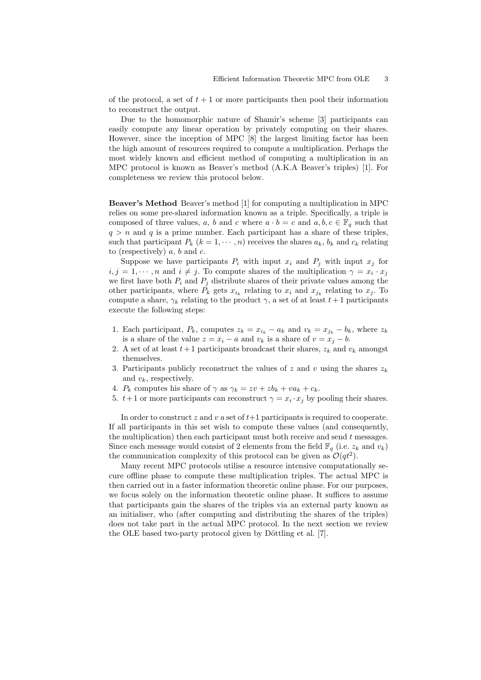of the protocol, a set of  $t + 1$  or more participants then pool their information to reconstruct the output.

Due to the homomorphic nature of Shamir's scheme [3] participants can easily compute any linear operation by privately computing on their shares. However, since the inception of MPC [8] the largest limiting factor has been the high amount of resources required to compute a multiplication. Perhaps the most widely known and efficient method of computing a multiplication in an MPC protocol is known as Beaver's method (A.K.A Beaver's triples) [1]. For completeness we review this protocol below.

Beaver's Method Beaver's method [1] for computing a multiplication in MPC relies on some pre-shared information known as a triple. Specifically, a triple is composed of three values, a, b and c where  $a \cdot b = c$  and  $a, b, c \in \mathbb{F}_q$  such that  $q > n$  and q is a prime number. Each participant has a share of these triples, such that participant  $P_k$   $(k = 1, \dots, n)$  receives the shares  $a_k, b_k$  and  $c_k$  relating to (respectively)  $a, b$  and  $c$ .

Suppose we have participants  $P_i$  with input  $x_i$  and  $P_j$  with input  $x_j$  for  $i, j = 1, \dots, n$  and  $i \neq j$ . To compute shares of the multiplication  $\gamma = x_i \cdot x_j$ we first have both  $P_i$  and  $P_j$  distribute shares of their private values among the other participants, where  $P_k$  gets  $x_{i_k}$  relating to  $x_i$  and  $x_{j_k}$  relating to  $x_j$ . To compute a share,  $\gamma_k$  relating to the product  $\gamma$ , a set of at least  $t+1$  participants execute the following steps:

- 1. Each participant,  $P_k$ , computes  $z_k = x_{i_k} a_k$  and  $v_k = x_{j_k} b_k$ , where  $z_k$ is a share of the value  $z = x_i - a$  and  $v_k$  is a share of  $v = x_j - b$ .
- 2. A set of at least  $t+1$  participants broadcast their shares,  $z_k$  and  $v_k$  amongst themselves.
- 3. Participants publicly reconstruct the values of z and v using the shares  $z_k$ and  $v_k$ , respectively.
- 4.  $P_k$  computes his share of  $\gamma$  as  $\gamma_k = zv + zb_k + va_k + c_k$ .
- 5.  $t+1$  or more participants can reconstruct  $\gamma = x_i \cdot x_j$  by pooling their shares.

In order to construct  $z$  and  $v$  a set of  $t+1$  participants is required to cooperate. If all participants in this set wish to compute these values (and consequently, the multiplication) then each participant must both receive and send  $t$  messages. Since each message would consist of 2 elements from the field  $\mathbb{F}_q$  (i.e.  $z_k$  and  $v_k$ ) the communication complexity of this protocol can be given as  $\mathcal{O}(qt^2)$ .

Many recent MPC protocols utilise a resource intensive computationally secure offline phase to compute these multiplication triples. The actual MPC is then carried out in a faster information theoretic online phase. For our purposes, we focus solely on the information theoretic online phase. It suffices to assume that participants gain the shares of the triples via an external party known as an initialiser, who (after computing and distributing the shares of the triples) does not take part in the actual MPC protocol. In the next section we review the OLE based two-party protocol given by Döttling et al. [7].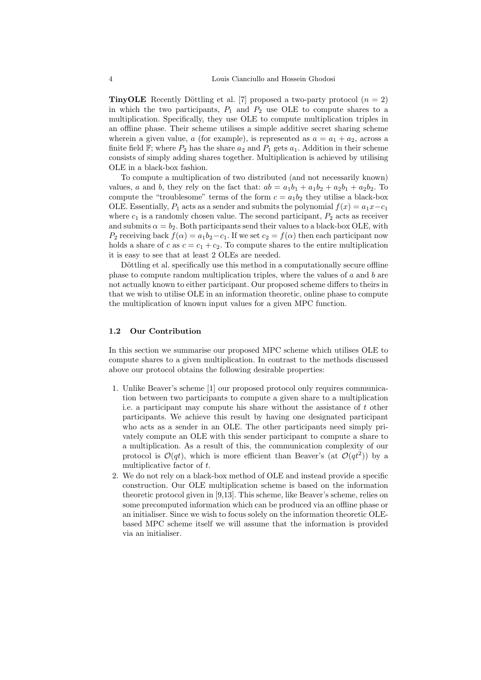**TinyOLE** Recently Döttling et al. [7] proposed a two-party protocol  $(n = 2)$ in which the two participants,  $P_1$  and  $P_2$  use OLE to compute shares to a multiplication. Specifically, they use OLE to compute multiplication triples in an offline phase. Their scheme utilises a simple additive secret sharing scheme wherein a given value, a (for example), is represented as  $a = a_1 + a_2$ , across a finite field F; where  $P_2$  has the share  $a_2$  and  $P_1$  gets  $a_1$ . Addition in their scheme consists of simply adding shares together. Multiplication is achieved by utilising OLE in a black-box fashion.

To compute a multiplication of two distributed (and not necessarily known) values, a and b, they rely on the fact that:  $ab = a_1b_1 + a_1b_2 + a_2b_1 + a_2b_2$ . To compute the "troublesome" terms of the form  $c = a_1b_2$  they utilise a black-box OLE. Essentially,  $P_1$  acts as a sender and submits the polynomial  $f(x) = a_1x-c_1$ where  $c_1$  is a randomly chosen value. The second participant,  $P_2$  acts as receiver and submits  $\alpha = b_2$ . Both participants send their values to a black-box OLE, with P<sub>2</sub> receiving back  $f(\alpha) = a_1b_2-c_1$ . If we set  $c_2 = f(\alpha)$  then each participant now holds a share of c as  $c = c_1 + c_2$ . To compute shares to the entire multiplication it is easy to see that at least 2 OLEs are needed.

Döttling et al. specifically use this method in a computationally secure offline phase to compute random multiplication triples, where the values of  $a$  and  $b$  are not actually known to either participant. Our proposed scheme differs to theirs in that we wish to utilise OLE in an information theoretic, online phase to compute the multiplication of known input values for a given MPC function.

## 1.2 Our Contribution

In this section we summarise our proposed MPC scheme which utilises OLE to compute shares to a given multiplication. In contrast to the methods discussed above our protocol obtains the following desirable properties:

- 1. Unlike Beaver's scheme [1] our proposed protocol only requires communication between two participants to compute a given share to a multiplication i.e. a participant may compute his share without the assistance of t other participants. We achieve this result by having one designated participant who acts as a sender in an OLE. The other participants need simply privately compute an OLE with this sender participant to compute a share to a multiplication. As a result of this, the communication complexity of our protocol is  $\mathcal{O}(qt)$ , which is more efficient than Beaver's (at  $\mathcal{O}(qt^2)$ ) by a multiplicative factor of t.
- 2. We do not rely on a black-box method of OLE and instead provide a specific construction. Our OLE multiplication scheme is based on the information theoretic protocol given in [9,13]. This scheme, like Beaver's scheme, relies on some precomputed information which can be produced via an offline phase or an initialiser. Since we wish to focus solely on the information theoretic OLEbased MPC scheme itself we will assume that the information is provided via an initialiser.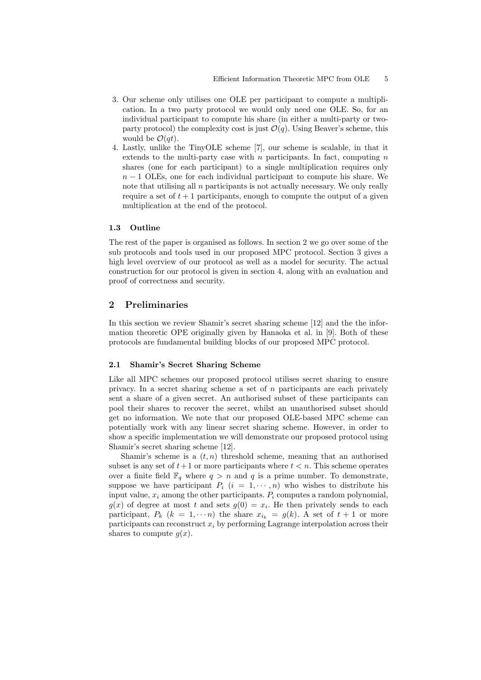- 3. Our scheme only utilises one OLE per participant to compute a multiplication. In a two party protocol we would only need one OLE. So, for an individual participant to compute his share (in either a multi-party or twoparty protocol) the complexity cost is just  $\mathcal{O}(q)$ . Using Beaver's scheme, this would be  $\mathcal{O}(at)$ .
- 4. Lastly, unlike the TinyOLE scheme [7], our scheme is scalable, in that it extends to the multi-party case with  $n$  participants. In fact, computing  $n$ shares (one for each participant) to a single multiplication requires only  $n-1$  OLEs, one for each individual participant to compute his share. We note that utilising all  $n$  participants is not actually necessary. We only really require a set of  $t + 1$  participants, enough to compute the output of a given multiplication at the end of the protocol.

#### 1.3 Outline

The rest of the paper is organised as follows. In section 2 we go over some of the sub protocols and tools used in our proposed MPC protocol. Section 3 gives a high level overview of our protocol as well as a model for security. The actual construction for our protocol is given in section 4, along with an evaluation and proof of correctness and security.

# 2 Preliminaries

In this section we review Shamir's secret sharing scheme [12] and the the information theoretic OPE originally given by Hanaoka et al. in [9]. Both of these protocols are fundamental building blocks of our proposed MPC protocol.

#### 2.1 Shamir's Secret Sharing Scheme

Like all MPC schemes our proposed protocol utilises secret sharing to ensure privacy. In a secret sharing scheme a set of  $n$  participants are each privately sent a share of a given secret. An authorised subset of these participants can pool their shares to recover the secret, whilst an unauthorised subset should get no information. We note that our proposed OLE-based MPC scheme can potentially work with any linear secret sharing scheme. However, in order to show a specific implementation we will demonstrate our proposed protocol using Shamir's secret sharing scheme [12].

Shamir's scheme is a  $(t, n)$  threshold scheme, meaning that an authorised subset is any set of  $t+1$  or more participants where  $t < n$ . This scheme operates over a finite field  $\mathbb{F}_q$  where  $q > n$  and q is a prime number. To demonstrate, suppose we have participant  $P_i$   $(i = 1, \dots, n)$  who wishes to distribute his input value,  $x_i$  among the other participants.  $P_i$  computes a random polynomial,  $g(x)$  of degree at most t and sets  $g(0) = x_i$ . He then privately sends to each participant,  $P_k$   $(k = 1, \dots n)$  the share  $x_{i_k} = g(k)$ . A set of  $t + 1$  or more participants can reconstruct  $x_i$  by performing Lagrange interpolation across their shares to compute  $g(x)$ .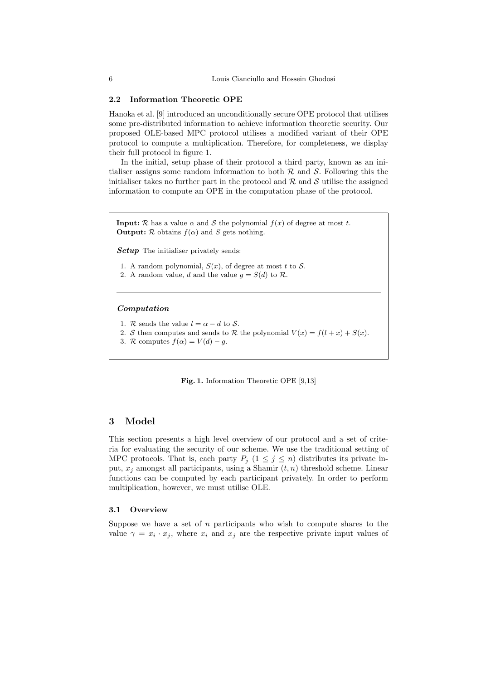#### 2.2 Information Theoretic OPE

Hanoka et al. [9] introduced an unconditionally secure OPE protocol that utilises some pre-distributed information to achieve information theoretic security. Our proposed OLE-based MPC protocol utilises a modified variant of their OPE protocol to compute a multiplication. Therefore, for completeness, we display their full protocol in figure 1.

In the initial, setup phase of their protocol a third party, known as an initialiser assigns some random information to both  $R$  and  $S$ . Following this the initialiser takes no further part in the protocol and  $R$  and  $S$  utilise the assigned information to compute an OPE in the computation phase of the protocol.

**Input:**  $\mathcal{R}$  has a value  $\alpha$  and  $\mathcal{S}$  the polynomial  $f(x)$  of degree at most t. **Output:**  $\mathcal{R}$  obtains  $f(\alpha)$  and  $S$  gets nothing.

Setup The initialiser privately sends:

- 1. A random polynomial,  $S(x)$ , of degree at most t to S.
- 2. A random value, d and the value  $q = S(d)$  to  $\mathcal{R}$ .

## Computation

- 1. R sends the value  $l = \alpha d$  to S.
- 2. S then computes and sends to R the polynomial  $V(x) = f(l+x) + S(x)$ .
- 3. R computes  $f(\alpha) = V(d) g$ .

Fig. 1. Information Theoretic OPE [9,13]

# 3 Model

This section presents a high level overview of our protocol and a set of criteria for evaluating the security of our scheme. We use the traditional setting of MPC protocols. That is, each party  $P_j$   $(1 \leq j \leq n)$  distributes its private input,  $x_j$  amongst all participants, using a Shamir  $(t, n)$  threshold scheme. Linear functions can be computed by each participant privately. In order to perform multiplication, however, we must utilise OLE.

#### 3.1 Overview

Suppose we have a set of  $n$  participants who wish to compute shares to the value  $\gamma = x_i \cdot x_j$ , where  $x_i$  and  $x_j$  are the respective private input values of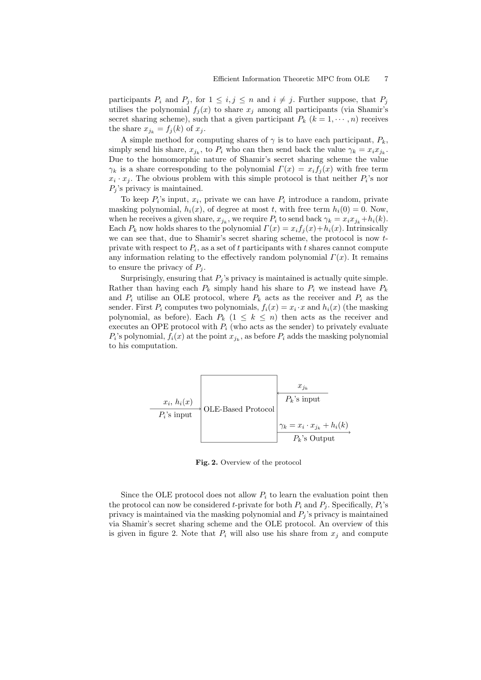participants  $P_i$  and  $P_j$ , for  $1 \leq i, j \leq n$  and  $i \neq j$ . Further suppose, that  $P_j$ utilises the polynomial  $f_j(x)$  to share  $x_j$  among all participants (via Shamir's secret sharing scheme), such that a given participant  $P_k$   $(k = 1, \dots, n)$  receives the share  $x_{j_k} = f_j(k)$  of  $x_j$ .

A simple method for computing shares of  $\gamma$  is to have each participant,  $P_k$ , simply send his share,  $x_{j_k}$ , to  $P_i$  who can then send back the value  $\gamma_k = x_i x_{j_k}$ . Due to the homomorphic nature of Shamir's secret sharing scheme the value  $\gamma_k$  is a share corresponding to the polynomial  $\Gamma(x) = x_i f_i(x)$  with free term  $x_i \cdot x_j$ . The obvious problem with this simple protocol is that neither  $P_i$ 's nor  $P_j$ 's privacy is maintained.

To keep  $P_i$ 's input,  $x_i$ , private we can have  $P_i$  introduce a random, private masking polynomial,  $h_i(x)$ , of degree at most t, with free term  $h_i(0) = 0$ . Now, when he receives a given share,  $x_{j_k}$ , we require  $P_i$  to send back  $\gamma_k = x_i x_{j_k} + h_i(k)$ . Each  $P_k$  now holds shares to the polynomial  $\Gamma(x) = x_i f_i(x) + h_i(x)$ . Intrinsically we can see that, due to Shamir's secret sharing scheme, the protocol is now tprivate with respect to  $P_i$ , as a set of t participants with t shares cannot compute any information relating to the effectively random polynomial  $\Gamma(x)$ . It remains to ensure the privacy of  $P_i$ .

Surprisingly, ensuring that  $P_i$ 's privacy is maintained is actually quite simple. Rather than having each  $P_k$  simply hand his share to  $P_i$  we instead have  $P_k$ and  $P_i$  utilise an OLE protocol, where  $P_k$  acts as the receiver and  $P_i$  as the sender. First  $P_i$  computes two polynomials,  $f_i(x) = x_i \cdot x$  and  $h_i(x)$  (the masking polynomial, as before). Each  $P_k$  ( $1 \leq k \leq n$ ) then acts as the receiver and executes an OPE protocol with  $P_i$  (who acts as the sender) to privately evaluate  $P_i$ 's polynomial,  $f_i(x)$  at the point  $x_{j_k}$ , as before  $P_i$  adds the masking polynomial to his computation.



Fig. 2. Overview of the protocol

Since the OLE protocol does not allow  $P_i$  to learn the evaluation point then the protocol can now be considered *t*-private for both  $P_i$  and  $P_j$ . Specifically,  $P_i$ 's privacy is maintained via the masking polynomial and  $P_j$ 's privacy is maintained via Shamir's secret sharing scheme and the OLE protocol. An overview of this is given in figure 2. Note that  $P_i$  will also use his share from  $x_j$  and compute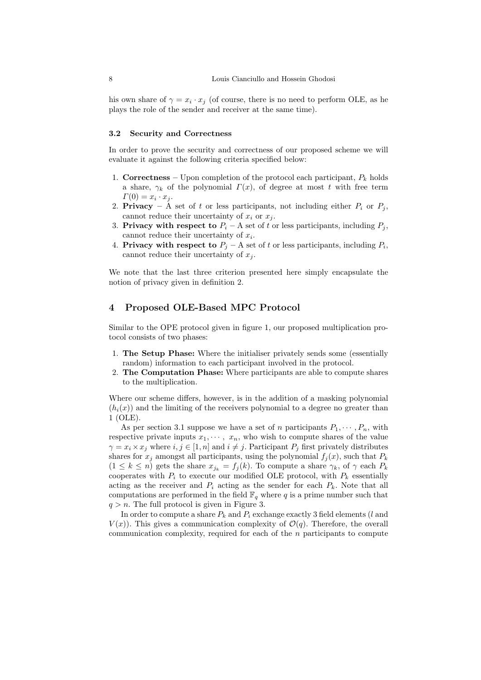his own share of  $\gamma = x_i \cdot x_j$  (of course, there is no need to perform OLE, as he plays the role of the sender and receiver at the same time).

#### 3.2 Security and Correctness

In order to prove the security and correctness of our proposed scheme we will evaluate it against the following criteria specified below:

- 1. Correctness Upon completion of the protocol each participant,  $P_k$  holds a share,  $\gamma_k$  of the polynomial  $\Gamma(x)$ , of degree at most t with free term  $\Gamma(0)=x_i\cdot x_j.$
- 2. **Privacy** A set of t or less participants, not including either  $P_i$  or  $P_j$ , cannot reduce their uncertainty of  $x_i$  or  $x_j$ .
- 3. Privacy with respect to  $P_i$  A set of t or less participants, including  $P_i$ , cannot reduce their uncertainty of  $x_i$ .
- 4. Privacy with respect to  $P_j A$  set of t or less participants, including  $P_i$ , cannot reduce their uncertainty of  $x_j$ .

We note that the last three criterion presented here simply encapsulate the notion of privacy given in definition 2.

# 4 Proposed OLE-Based MPC Protocol

Similar to the OPE protocol given in figure 1, our proposed multiplication protocol consists of two phases:

- 1. The Setup Phase: Where the initialiser privately sends some (essentially random) information to each participant involved in the protocol.
- 2. The Computation Phase: Where participants are able to compute shares to the multiplication.

Where our scheme differs, however, is in the addition of a masking polynomial  $(h<sub>i</sub>(x))$  and the limiting of the receivers polynomial to a degree no greater than 1 (OLE).

As per section 3.1 suppose we have a set of n participants  $P_1, \dots, P_n$ , with respective private inputs  $x_1, \dots, x_n$ , who wish to compute shares of the value  $\gamma = x_i \times x_j$  where  $i, j \in [1, n]$  and  $i \neq j$ . Participant  $P_j$  first privately distributes shares for  $x_i$  amongst all participants, using the polynomial  $f_i(x)$ , such that  $P_k$  $(1 \leq k \leq n)$  gets the share  $x_{i_k} = f_i(k)$ . To compute a share  $\gamma_k$ , of  $\gamma$  each  $P_k$ cooperates with  $P_i$  to execute our modified OLE protocol, with  $P_k$  essentially acting as the receiver and  $P_i$  acting as the sender for each  $P_k$ . Note that all computations are performed in the field  $\mathbb{F}_q$  where q is a prime number such that  $q > n$ . The full protocol is given in Figure 3.

In order to compute a share  $P_k$  and  $P_i$  exchange exactly 3 field elements (l and  $V(x)$ ). This gives a communication complexity of  $\mathcal{O}(q)$ . Therefore, the overall communication complexity, required for each of the  $n$  participants to compute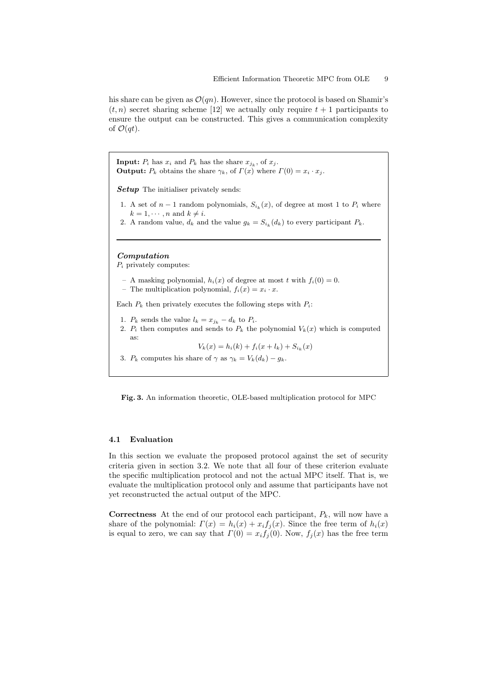his share can be given as  $\mathcal{O}(qn)$ . However, since the protocol is based on Shamir's  $(t, n)$  secret sharing scheme [12] we actually only require  $t + 1$  participants to ensure the output can be constructed. This gives a communication complexity of  $\mathcal{O}(qt)$ .

**Input:**  $P_i$  has  $x_i$  and  $P_k$  has the share  $x_{j_k}$ , of  $x_j$ . **Output:**  $P_k$  obtains the share  $\gamma_k$ , of  $\Gamma(x)$  where  $\Gamma(0) = x_i \cdot x_j$ .

Setup The initialiser privately sends:

- 1. A set of  $n-1$  random polynomials,  $S_{i_k}(x)$ , of degree at most 1 to  $P_i$  where  $k = 1, \dots, n$  and  $k \neq i$ .
- 2. A random value,  $d_k$  and the value  $g_k = S_{i_k}(d_k)$  to every participant  $P_k$ .

#### Computation

 $P_i$  privately computes:

- A masking polynomial,  $h_i(x)$  of degree at most t with  $f_i(0) = 0$ .
- The multiplication polynomial,  $f_i(x) = x_i \cdot x$ .

Each  $P_k$  then privately executes the following steps with  $P_i$ :

- 1.  $P_k$  sends the value  $l_k = x_{j_k} d_k$  to  $P_i$ .
- 2.  $P_i$  then computes and sends to  $P_k$  the polynomial  $V_k(x)$  which is computed as:

 $V_k(x) = h_i(k) + f_i(x + l_k) + S_{i_k}(x)$ 

3.  $P_k$  computes his share of  $\gamma$  as  $\gamma_k = V_k(d_k) - q_k$ .

Fig. 3. An information theoretic, OLE-based multiplication protocol for MPC

#### 4.1 Evaluation

In this section we evaluate the proposed protocol against the set of security criteria given in section 3.2. We note that all four of these criterion evaluate the specific multiplication protocol and not the actual MPC itself. That is, we evaluate the multiplication protocol only and assume that participants have not yet reconstructed the actual output of the MPC.

**Correctness** At the end of our protocol each participant,  $P_k$ , will now have a share of the polynomial:  $\Gamma(x) = h_i(x) + x_i f_j(x)$ . Since the free term of  $h_i(x)$ is equal to zero, we can say that  $\Gamma(0) = x_i f_j(0)$ . Now,  $f_j(x)$  has the free term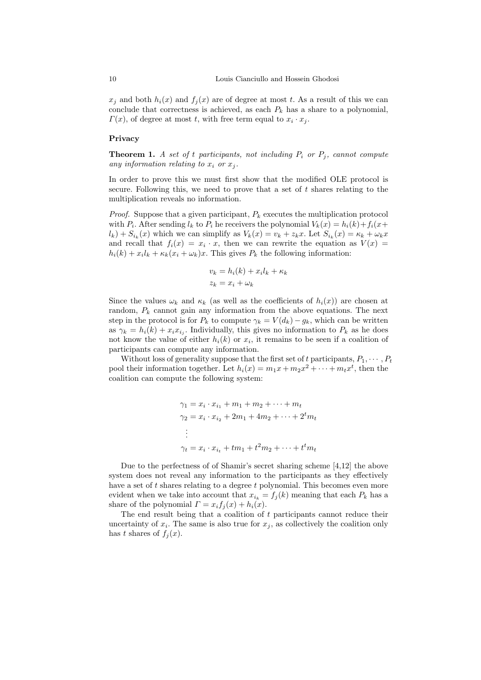$x_j$  and both  $h_i(x)$  and  $f_j(x)$  are of degree at most t. As a result of this we can conclude that correctness is achieved, as each  $P_k$  has a share to a polynomial,  $\Gamma(x)$ , of degree at most t, with free term equal to  $x_i \cdot x_j$ .

#### Privacy

**Theorem 1.** A set of t participants, not including  $P_i$  or  $P_j$ , cannot compute any information relating to  $x_i$  or  $x_j$ .

In order to prove this we must first show that the modified OLE protocol is secure. Following this, we need to prove that a set of  $t$  shares relating to the multiplication reveals no information.

*Proof.* Suppose that a given participant,  $P_k$  executes the multiplication protocol with  $P_i$ . After sending  $l_k$  to  $P_i$  he receivers the polynomial  $V_k(x) = h_i(k) + f_i(x +$  $l_k$ ) +  $S_{i_k}(x)$  which we can simplify as  $V_k(x) = v_k + z_k x$ . Let  $S_{i_k}(x) = \kappa_k + \omega_k x$ and recall that  $f_i(x) = x_i \cdot x$ , then we can rewrite the equation as  $V(x) = x_i$  $h_i(k) + x_i l_k + \kappa_k (x_i + \omega_k)x$ . This gives  $P_k$  the following information:

$$
v_k = h_i(k) + x_i l_k + \kappa_k
$$
  

$$
z_k = x_i + \omega_k
$$

Since the values  $\omega_k$  and  $\kappa_k$  (as well as the coefficients of  $h_i(x)$ ) are chosen at random,  $P_k$  cannot gain any information from the above equations. The next step in the protocol is for  $P_k$  to compute  $\gamma_k = V(d_k) - g_k$ , which can be written as  $\gamma_k = h_i(k) + x_i x_{i_j}$ . Individually, this gives no information to  $P_k$  as he does not know the value of either  $h_i(k)$  or  $x_i$ , it remains to be seen if a coalition of participants can compute any information.

Without loss of generality suppose that the first set of t participants,  $P_1, \cdots, P_t$ pool their information together. Let  $h_i(x) = m_1x + m_2x^2 + \cdots + m_tx^t$ , then the coalition can compute the following system:

$$
\gamma_1 = x_i \cdot x_{i_1} + m_1 + m_2 + \dots + m_t
$$
  
\n
$$
\gamma_2 = x_i \cdot x_{i_2} + 2m_1 + 4m_2 + \dots + 2^t m_t
$$
  
\n
$$
\vdots
$$
  
\n
$$
\gamma_t = x_i \cdot x_{i_t} + t m_1 + t^2 m_2 + \dots + t^t m_t
$$

Due to the perfectness of of Shamir's secret sharing scheme [4,12] the above system does not reveal any information to the participants as they effectively have a set of  $t$  shares relating to a degree  $t$  polynomial. This becomes even more evident when we take into account that  $x_{i_k} = f_i(k)$  meaning that each  $P_k$  has a share of the polynomial  $\Gamma = x_i f_i(x) + h_i(x)$ .

The end result being that a coalition of t participants cannot reduce their uncertainty of  $x_i$ . The same is also true for  $x_j$ , as collectively the coalition only has t shares of  $f_i(x)$ .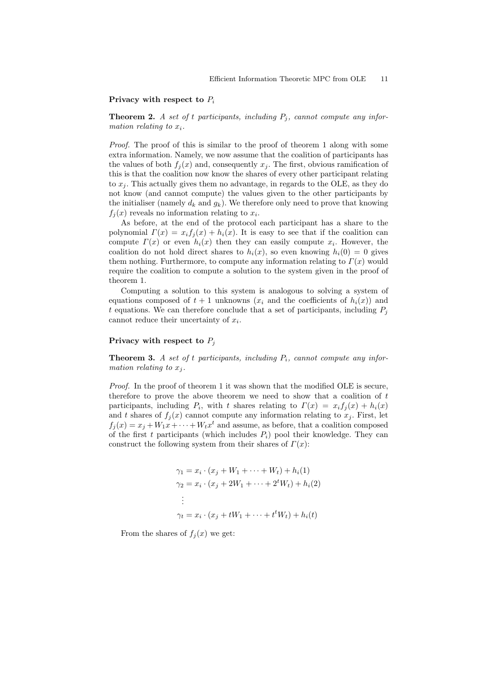#### Privacy with respect to  $P_i$

**Theorem 2.** A set of t participants, including  $P_i$ , cannot compute any information relating to  $x_i$ .

Proof. The proof of this is similar to the proof of theorem 1 along with some extra information. Namely, we now assume that the coalition of participants has the values of both  $f_i(x)$  and, consequently  $x_i$ . The first, obvious ramification of this is that the coalition now know the shares of every other participant relating to  $x_j$ . This actually gives them no advantage, in regards to the OLE, as they do not know (and cannot compute) the values given to the other participants by the initialiser (namely  $d_k$  and  $g_k$ ). We therefore only need to prove that knowing  $f_j(x)$  reveals no information relating to  $x_i$ .

As before, at the end of the protocol each participant has a share to the polynomial  $\Gamma(x) = x_i f_i(x) + h_i(x)$ . It is easy to see that if the coalition can compute  $\Gamma(x)$  or even  $h_i(x)$  then they can easily compute  $x_i$ . However, the coalition do not hold direct shares to  $h_i(x)$ , so even knowing  $h_i(0) = 0$  gives them nothing. Furthermore, to compute any information relating to  $\Gamma(x)$  would require the coalition to compute a solution to the system given in the proof of theorem 1.

Computing a solution to this system is analogous to solving a system of equations composed of  $t + 1$  unknowns  $(x_i)$  and the coefficients of  $h_i(x)$  and t equations. We can therefore conclude that a set of participants, including  $P_i$ cannot reduce their uncertainty of  $x_i$ .

## Privacy with respect to  $P_i$

**Theorem 3.** A set of t participants, including  $P_i$ , cannot compute any information relating to  $x_i$ .

Proof. In the proof of theorem 1 it was shown that the modified OLE is secure, therefore to prove the above theorem we need to show that a coalition of t participants, including  $P_i$ , with t shares relating to  $\Gamma(x) = x_i f_j(x) + h_i(x)$ and t shares of  $f_i(x)$  cannot compute any information relating to  $x_i$ . First, let  $f_j(x) = x_j + W_1x + \cdots + W_tx^t$  and assume, as before, that a coalition composed of the first t participants (which includes  $P_i$ ) pool their knowledge. They can construct the following system from their shares of  $\Gamma(x)$ :

$$
\gamma_1 = x_i \cdot (x_j + W_1 + \dots + W_t) + h_i(1)
$$
  
\n
$$
\gamma_2 = x_i \cdot (x_j + 2W_1 + \dots + 2^t W_t) + h_i(2)
$$
  
\n
$$
\vdots
$$
  
\n
$$
\gamma_t = x_i \cdot (x_j + tW_1 + \dots + t^t W_t) + h_i(t)
$$

From the shares of  $f_j(x)$  we get: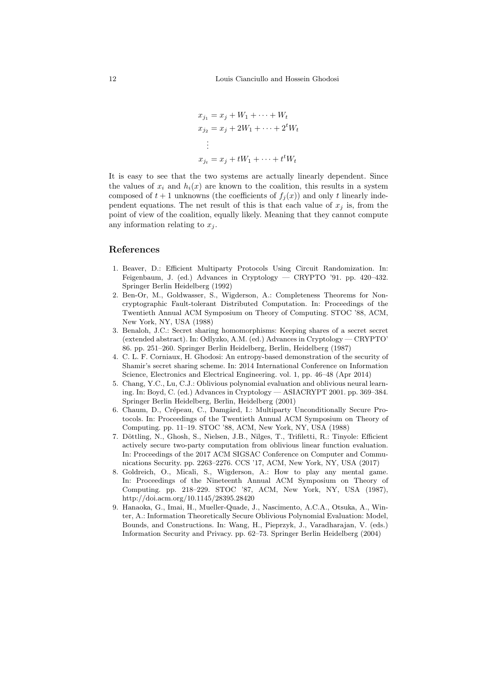$$
x_{j_1} = x_j + W_1 + \dots + W_t
$$
  
\n
$$
x_{j_2} = x_j + 2W_1 + \dots + 2^t W_t
$$
  
\n
$$
\vdots
$$
  
\n
$$
x_{j_t} = x_j + tW_1 + \dots + t^t W_t
$$

It is easy to see that the two systems are actually linearly dependent. Since the values of  $x_i$  and  $h_i(x)$  are known to the coalition, this results in a system composed of  $t + 1$  unknowns (the coefficients of  $f_i(x)$ ) and only t linearly independent equations. The net result of this is that each value of  $x_j$  is, from the point of view of the coalition, equally likely. Meaning that they cannot compute any information relating to  $x_i$ .

### References

- 1. Beaver, D.: Efficient Multiparty Protocols Using Circuit Randomization. In: Feigenbaum, J. (ed.) Advances in Cryptology — CRYPTO '91. pp. 420–432. Springer Berlin Heidelberg (1992)
- 2. Ben-Or, M., Goldwasser, S., Wigderson, A.: Completeness Theorems for Noncryptographic Fault-tolerant Distributed Computation. In: Proceedings of the Twentieth Annual ACM Symposium on Theory of Computing. STOC '88, ACM, New York, NY, USA (1988)
- 3. Benaloh, J.C.: Secret sharing homomorphisms: Keeping shares of a secret secret (extended abstract). In: Odlyzko, A.M. (ed.) Advances in Cryptology — CRYPTO' 86. pp. 251–260. Springer Berlin Heidelberg, Berlin, Heidelberg (1987)
- 4. C. L. F. Corniaux, H. Ghodosi: An entropy-based demonstration of the security of Shamir's secret sharing scheme. In: 2014 International Conference on Information Science, Electronics and Electrical Engineering. vol. 1, pp. 46–48 (Apr 2014)
- 5. Chang, Y.C., Lu, C.J.: Oblivious polynomial evaluation and oblivious neural learning. In: Boyd, C. (ed.) Advances in Cryptology — ASIACRYPT 2001. pp. 369–384. Springer Berlin Heidelberg, Berlin, Heidelberg (2001)
- 6. Chaum, D., Crépeau, C., Damgård, I.: Multiparty Unconditionally Secure Protocols. In: Proceedings of the Twentieth Annual ACM Symposium on Theory of Computing. pp. 11–19. STOC '88, ACM, New York, NY, USA (1988)
- 7. Döttling, N., Ghosh, S., Nielsen, J.B., Nilges, T., Trifiletti, R.: Tinyole: Efficient actively secure two-party computation from oblivious linear function evaluation. In: Proceedings of the 2017 ACM SIGSAC Conference on Computer and Communications Security. pp. 2263–2276. CCS '17, ACM, New York, NY, USA (2017)
- 8. Goldreich, O., Micali, S., Wigderson, A.: How to play any mental game. In: Proceedings of the Nineteenth Annual ACM Symposium on Theory of Computing. pp. 218–229. STOC '87, ACM, New York, NY, USA (1987), http://doi.acm.org/10.1145/28395.28420
- 9. Hanaoka, G., Imai, H., Mueller-Quade, J., Nascimento, A.C.A., Otsuka, A., Winter, A.: Information Theoretically Secure Oblivious Polynomial Evaluation: Model, Bounds, and Constructions. In: Wang, H., Pieprzyk, J., Varadharajan, V. (eds.) Information Security and Privacy. pp. 62–73. Springer Berlin Heidelberg (2004)